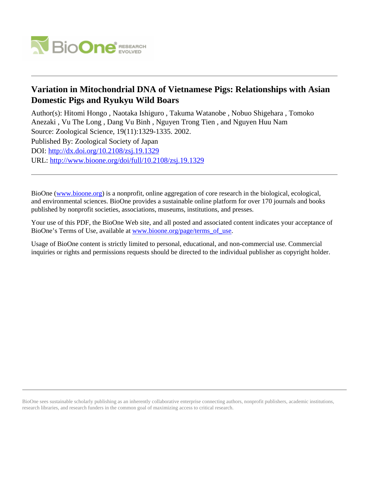

# **Variation in Mitochondrial DNA of Vietnamese Pigs: Relationships with Asian Domestic Pigs and Ryukyu Wild Boars**

Author(s): Hitomi Hongo , Naotaka Ishiguro , Takuma Watanobe , Nobuo Shigehara , Tomoko Anezaki , Vu The Long , Dang Vu Binh , Nguyen Trong Tien , and Nguyen Huu Nam Source: Zoological Science, 19(11):1329-1335. 2002.

Published By: Zoological Society of Japan DOI:<http://dx.doi.org/10.2108/zsj.19.1329> URL: <http://www.bioone.org/doi/full/10.2108/zsj.19.1329>

BioOne [\(www.bioone.org\)](http://www.bioone.org) is a nonprofit, online aggregation of core research in the biological, ecological, and environmental sciences. BioOne provides a sustainable online platform for over 170 journals and books published by nonprofit societies, associations, museums, institutions, and presses.

Your use of this PDF, the BioOne Web site, and all posted and associated content indicates your acceptance of BioOne's Terms of Use, available at [www.bioone.org/page/terms\\_of\\_use.](http://www.bioone.org/page/terms_of_use)

Usage of BioOne content is strictly limited to personal, educational, and non-commercial use. Commercial inquiries or rights and permissions requests should be directed to the individual publisher as copyright holder.

BioOne sees sustainable scholarly publishing as an inherently collaborative enterprise connecting authors, nonprofit publishers, academic institutions, research libraries, and research funders in the common goal of maximizing access to critical research.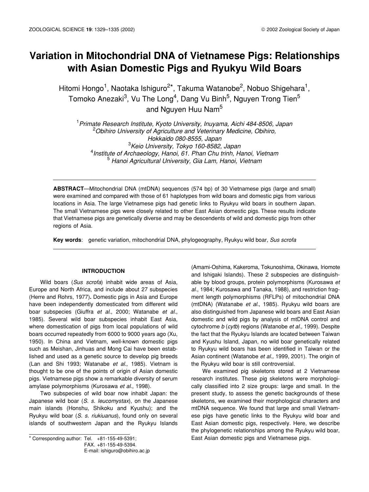# **Variation in Mitochondrial DNA of Vietnamese Pigs: Relationships with Asian Domestic Pigs and Ryukyu Wild Boars**

Hitomi Hongo<sup>1</sup>, Naotaka Ishiguro<sup>2\*</sup>, Takuma Watanobe<sup>2</sup>, Nobuo Shigehara<sup>1</sup>, Tomoko Anezaki<sup>3</sup>, Vu The Long<sup>4</sup>, Dang Vu Binh<sup>5</sup>, Nguyen Trong Tien<sup>5</sup> and Nguyen Huu Nam<sup>5</sup>

 *Primate Research Institute, Kyoto University, Inuyama, Aichi 484-8506, Japan Obihiro University of Agriculture and Veterinary Medicine, Obihiro, Hokkaido 080-8555, Japan Keio University, Tokyo 160-8582, Japan Institute of Archaeology, Hanoi, 61. Phan Chu trinh, Hanoi, Vietnam Hanoi Agricultural University, Gia Lam, Hanoi, Vietnam*

**ABSTRACT**—Mitochondrial DNA (mtDNA) sequences (574 bp) of 30 Vietnamese pigs (large and small) were examined and compared with those of 61 haplotypes from wild boars and domestic pigs from various locations in Asia. The large Vietnamese pigs had genetic links to Ryukyu wild boars in southern Japan. The small Vietnamese pigs were closely related to other East Asian domestic pigs. These results indicate that Vietnamese pigs are genetically diverse and may be descendents of wild and domestic pigs from other regions of Asia.

**Key words**: genetic variation, mitochondrial DNA, phylogeography, Ryukyu wild boar, *Sus scrofa*

## **INTRODUCTION**

Wild boars (*Sus scrofa*) inhabit wide areas of Asia, Europe and North Africa, and include about 27 subspecies (Herre and Rohrs, 1977)**.** Domestic pigs in Asia and Europe have been independently domesticated from different wild boar subspecies (Giuffra *et al*., 2000; Watanabe *et al*., 1985). Several wild boar subspecies inhabit East Asia, where domestication of pigs from local populations of wild boars occurred repeatedly from 6000 to 9000 years ago (Xu, 1950). In China and Vietnam, well-known domestic pigs such as Meishan, Jinhuas and Mong Cai have been established and used as a genetic source to develop pig breeds (Lan and Shi 1993; Watanabe *et al*., 1985). Vietnam is thought to be one of the points of origin of Asian domestic pigs. Vietnamese pigs show a remarkable diversity of serum amylase polymorphisms (Kurosawa *et al*., 1998).

Two subspecies of wild boar now inhabit Japan: the Japanese wild boar (*S. s. leucomystax*), on the Japanese main islands (Honshu, Shikoku and Kyushu); and the Ryukyu wild boar (*S. s. riukiuanus*), found only on several islands of southwestern Japan and the Ryukyu Islands

FAX. +81-155-49-5394. E-mail: ishiguro@obihiro.ac.jp

(Amami-Oshima, Kakeroma, Tokunoshima, Okinawa, Iriomote and Ishigaki Islands). These 2 subspecies are distinguishable by blood groups, protein polymorphisms (Kurosawa *et al*., 1984; Kurosawa and Tanaka, 1988), and restriction fragment length polymorphisms (RFLPs) of mitochondrial DNA (mtDNA) (Watanabe *et al.*, 1985). Ryukyu wild boars are also distinguished from Japanese wild boars and East Asian domestic and wild pigs by analysis of mtDNA control and cytochrome *b* (*cytb*) regions (Watanobe *et al.,* 1999). Despite the fact that the Ryukyu Islands are located between Taiwan and Kyushu Island, Japan, no wild boar genetically related to Ryukyu wild boars has been identified in Taiwan or the Asian continent (Watanobe *et al.,* 1999, 2001). The origin of the Ryukyu wild boar is still controversial.

We examined pig skeletons stored at 2 Vietnamese research institutes. These pig skeletons were morphologically classified into 2 size groups: large and small. In the present study, to assess the genetic backgrounds of these skeletons, we examined their morphological characters and mtDNA sequence. We found that large and small Vietnamese pigs have genetic links to the Ryukyu wild boar and East Asian domestic pigs, respectively. Here, we describe the phylogenetic relationships among the Ryukyu wild boar, \* Corresponding author: Tel. +81-155-49-5391; East Asian domestic pigs and Vietnamese pigs.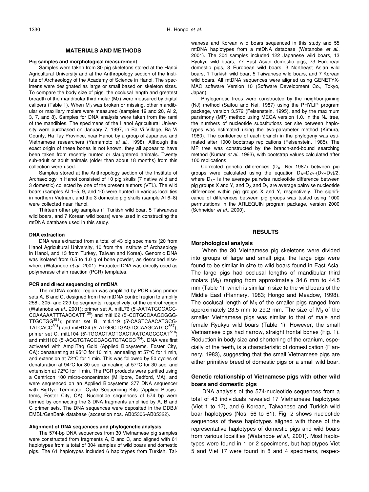#### **MATERIALS AND METHODS**

#### **Pig samples and morphological measurement**

Samples were taken from 30 pig skeletons stored at the Hanoi Agricultural University and at the Anthropology section of the Institute of Archaeology of the Academy of Science in Hanoi. The specimens were designated as large or small based on skeleton sizes. To compare the body size of pigs, the occlusal length and greatest breadth of the mandibular third molar  $(M_3)$  were measured by digital calipers (Table 1). When  $M_3$  was broken or missing, other mandibular or maxillary molars were measured (samples 19 and 20, AI 2, 3, 7, and 8). Samples for DNA analysis were taken from the rami of the mandibles. The specimens of the Hanoi Agricultural University were purchased on January 7, 1997, in Ba Vi Village, Ba Vi County, Ha Tay Province, near Hanoi, by a group of Japanese and Vietnamese researchers (Yamamoto *et al.*, 1998). Although the exact origin of these bones is not known, they all appear to have been taken from recently hunted or slaughtered animals. Twenty sub-adult or adult animals (older than about 18 months) from this collection were used.

Samples stored at the Anthropology section of the Institute of Archaeology in Hanoi consisted of 10 pig skulls (7 native wild and 3 domestic) collected by one of the present authors (VTL). The wild boars (samples AI 1–5, 9, and 10) were hunted in various localities in northern Vietnam, and the 3 domestic pig skulls (sample AI 6–8) were collected near Hanoi.

Thirteen other pig samples (1 Turkish wild boar, 5 Taiwanese wild boars, and 7 Korean wild boars) were used in constructing the mtDNA database used in this study.

#### **DNA extraction**

DNA was extracted from a total of 43 pig specimens (20 from Hanoi Agricultural University, 10 from the Institute of Archaeology in Hanoi, and 13 from Turkey, Taiwan and Korea). Genomic DNA was isolated from 0.5 to 1.0 g of bone powder, as described elsewhere (Watanobe *et al*., 2001). Extracted DNA was directly used as polymerase chain reaction (PCR) templates.

#### **PCR and direct sequencing of mtDNA**

The mtDNA control region was amplified by PCR using primer sets A, B and C, designed from the mtDNA control region to amplify 258-, 305- and 229-bp segments, respectively, of the control region (Watanobe *et al*., 2001): primer set A, mitL76 (5'-AATATGCGACC-CCAAAAATTTAACCATT<sup>130</sup>) and mitH62 (5'-CCTGCCAAGCGGG-TTGCTGG351); primer set B, mitL119 (5'-CAGTCAACATGCG-TATCACC<sup>301</sup>) and mitH124 (5'-ATGGCTGAGTCCAAGCATCC<sup>567</sup> primer set C, mitL104 (5'-TGGACTAGTGACTAATCAGCCCAT<sup>518</sup>) and mitH106 (5'-ACGTGTACGCACGTGTACGC<sup>704</sup>). DNA was first activated with AmpliTaq Gold (Applied Biosystems, Foster City, CA): denaturating at 95°C for 10 min, annealing at 57°C for 1 min, and extension at 72°C for 1 min. This was followed by 50 cycles of denaturation at 94°C for 30 sec, annealing at 57°C for 30 sec, and extension at 72°C for 1 min. The PCR products were purified using a Centricon 100 micro-concentrator (Millipore, Bedford, MA), and were sequenced on an Applied Biosystems 377 DNA sequencer with BigDye Terminator Cycle Sequencing Kits (Applied Biosystems, Foster City, CA). Nucleotide sequences of 574 bp were formed by connecting the 3 DNA fragments amplified by A, B and C primer sets. The DNA sequences were deposited in the DDBJ/ EMBL/GenBank database (accession nos. AB05306-AB05322).

### **Alignment of DNA sequences and phylogenetic analysis**

The 574-bp DNA sequences from 30 Vietnamese pig samples were constructed from fragments A, B and C, and aligned with 61 haplotypes from a total of 304 samples of wild boars and domestic pigs. The 61 haplotypes included 6 haplotypes from Turkish, Taiwanese and Korean wild boars sequenced in this study and 55 mtDNA haplotypes from a mtDNA database (Watanobe *et al*., 2001). The 304 samples included 122 Japanese wild boars, 13 Ryukyu wild boars, 77 East Asian domestic pigs, 73 European domestic pigs, 3 European wild boars, 3 Northeast Asian wild boars, 1 Turkish wild boar, 5 Taiwanese wild boars, and 7 Korean wild boars. All mtDNA sequences were aligned using GENETYX-MAC software Version 10 (Software Development Co., Tokyo, Japan).

Phylogenetic trees were constructed by the neighbor-joining (NJ) method (Saitou and Nei, 1987) using the PHYLIP program package, version 3.572 (Felsenstein, 1995), and by the maximum parsimony (MP) method using MEGA version 1.0. In the NJ tree, the numbers of nucleotide substitutions per site between haplotypes was estimated using the two-parameter method (Kimura, 1980). The confidence of each branch in the phylogeny was estimated after 1000 bootstrap replications (Felsenstein, 1985). The MP tree was constructed by the branch-and-bound searching method (Kumar *et al.*, 1993), with bootstrap values calculated after 100 replications.

Corrected genetic differences (DA: Nei 1987) between pig groups were calculated using the equation  $D_A=D_{XY}-(D_X+D_Y)/2$ , where  $D_{XY}$  is the average pairwise nucleotide difference between pig groups X and Y, and  $D_X$  and  $D_Y$  are average pairwise nucleotide differences within pig groups X and Y, respectively. The significance of differences between pig groups was tested using 1000 permutations in the ARLEQUIN program package, version 2000 (Schneider *et al.,* 2000).

#### **RESULTS**

### **Morphological analysis**

When the 30 Vietnamese pig skeletons were divided into groups of large and small pigs, the large pigs were found to be similar in size to wild boars found in East Asia. The large pigs had occlusal lengths of mandibular third molars  $(M_3)$  ranging from approximately 34.6 mm to 44.5 mm (Table 1), which is similar in size to the wild boars of the Middle East (Flannery, 1983; Hongo and Meadow, 1998). The occlusal length of  $M_3$  of the smaller pigs ranged from approximately 23.5 mm to 29.2 mm. The size of  $M_3$  of the smaller Vietnamese pigs was similar to that of male and female Ryukyu wild boars (Table 1). However, the small Vietnamese pigs had narrow, straight frontal bones (Fig. 1). Reduction in body size and shortening of the cranium, especially of the teeth, is a characteristic of domestication (Flannery, 1983), suggesting that the small Vietnamese pigs are either primitive breed of domestic pigs or a small wild boar.

## **Genetic relationship of Vietnamese pigs with other wild boars and domestic pigs**

DNA analysis of the 574-nucleotide sequences from a total of 43 individuals revealed 17 Vietnamese haplotypes (Viet 1 to 17), and 6 Korean, Taiwanese and Turkish wild boar haplotypes (Nos. 56 to 61). Fig. 2 shows nucleotide sequences of these haplotypes aligned with those of the representative haplotypes of domestic pigs and wild boars from various localities (Watanobe *et al*., 2001). Most haplotypes were found in 1 or 2 specimens, but haplotypes Viet 5 and Viet 17 were found in 8 and 4 specimens, respec-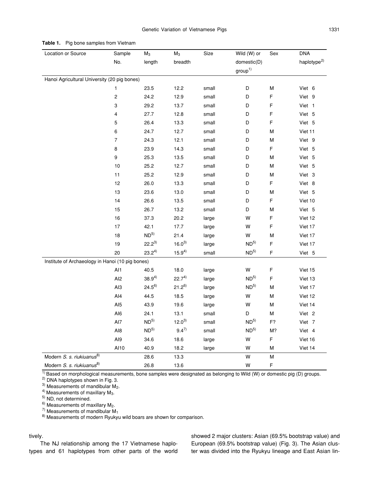| Location or Source                               | Sample           | $M_3$           | $M_3$       | Size  | Wild (W) or        | Sex         | <b>DNA</b>              |
|--------------------------------------------------|------------------|-----------------|-------------|-------|--------------------|-------------|-------------------------|
|                                                  | No.              | length          | breadth     |       | domestic(D)        |             | haplotype <sup>2)</sup> |
|                                                  |                  |                 |             |       | group <sup>1</sup> |             |                         |
| Hanoi Agricultural University (20 pig bones)     |                  |                 |             |       |                    |             |                         |
|                                                  | 1                | 23.5            | 12.2        | small | D                  | М           | Viet 6                  |
|                                                  | $\boldsymbol{2}$ | 24.2            | 12.9        | small | D                  | F           | Viet 9                  |
|                                                  | 3                | 29.2            | 13.7        | small | D                  | F           | Viet 1                  |
|                                                  | 4                | 27.7            | 12.8        | small | D                  | F           | Viet 5                  |
|                                                  | 5                | 26.4            | 13.3        | small | D                  | F           | Viet 5                  |
|                                                  | 6                | 24.7            | 12.7        | small | D                  | M           | Viet 11                 |
|                                                  | $\overline{7}$   | 24.3            | 12.1        | small | D                  | M           | Viet 9                  |
|                                                  | 8                | 23.9            | 14.3        | small | D                  | $\mathsf F$ | Viet 5                  |
|                                                  | $\boldsymbol{9}$ | 25.3            | 13.5        | small | D                  | М           | Viet 5                  |
|                                                  | $10$             | 25.2            | 12.7        | small | D                  | M           | Viet 5                  |
|                                                  | 11               | 25.2            | 12.9        | small | D                  | М           | Viet 3                  |
|                                                  | 12               | 26.0            | 13.3        | small | D                  | F           | Viet 8                  |
|                                                  | 13               | 23.6            | 13.0        | small | D                  | M           | Viet 5                  |
|                                                  | 14               | 26.6            | 13.5        | small | D                  | F           | Viet 10                 |
|                                                  | 15               | 26.7            | 13.2        | small | D                  | M           | Viet 5                  |
|                                                  | 16               | 37.3            | 20.2        | large | W                  | F           | Viet 12                 |
|                                                  | $17$             | 42.1            | 17.7        | large | W                  | F           | Viet 17                 |
|                                                  | 18               | ND <sup>5</sup> | 21.4        | large | W                  | M           | Viet 17                 |
|                                                  | 19               | $22.2^{3}$      | $16.0^{3}$  | large | ND <sup>5</sup>    | $\mathsf F$ | Viet 17                 |
|                                                  | 20               | $23.2^{4}$      | $15.9^{4)}$ | small | ND <sup>5</sup>    | $\mathsf F$ | Viet 5                  |
| Institute of Archaeology in Hanoi (10 pig bones) |                  |                 |             |       |                    |             |                         |
|                                                  | Al1              | 40.5            | 18.0        | large | W                  | $\mathsf F$ | Viet 15                 |
|                                                  | Al <sub>2</sub>  | $38.9^{4}$      | $22.7^{4}$  | large | ND <sup>5</sup>    | $\mathsf F$ | Viet 13                 |
|                                                  | AI3              | $24.5^{6}$      | $21.2^{6}$  | large | ND <sup>5</sup>    | М           | Viet 17                 |
|                                                  | AI4              | 44.5            | 18.5        | large | W                  | ${\sf M}$   | Viet 12                 |
|                                                  | AI <sub>5</sub>  | 43.9            | 19.6        | large | W                  | M           | Viet 14                 |
|                                                  | AI6              | 24.1            | 13.1        | small | D                  | М           | Viet 2                  |
|                                                  | AI7              | ND <sup>5</sup> | $12.0^{3}$  | small | ND <sup>5</sup>    | F?          | Viet 7                  |
|                                                  | Al8              | ND <sup>5</sup> | $9.4^{7}$   | small | ND <sup>5</sup>    | M?          | Viet 4                  |
|                                                  | AI9              | 34.6            | 18.6        | large | W                  | F           | Viet 16                 |
|                                                  | AI10             | 40.9            | 18.2        | large | W                  | ${\sf M}$   | Viet 14                 |
| Modern S. s. riukiuanus <sup>8)</sup>            |                  | 28.6            | 13.3        |       | W                  | ${\sf M}$   |                         |
| Modern S. s. riukiuanus <sup>8)</sup>            |                  | 26.8            | 13.6        |       | W                  | F           |                         |

**Table 1.** Pig bone samples from Vietnam

 $\frac{1}{10}$  Based on morphological measurements, bone samples were designated as belonging to Wild (W) or domestic pig (D) groups.

<sup>2)</sup> DNA haplotypes shown in Fig. 3.<br><sup>3)</sup> Measurements of mandibular  $M_2$ .

<sup>4)</sup> Measurements of maxillary M<sub>3</sub>.<br><sup>5)</sup> ND, not determined.<br><sup>6)</sup> Measurements of maxillary M<sub>2</sub>.

<sup>7)</sup> Measurements of mandibular M<sub>1</sub><br><sup>8)</sup> Measurements of modern Ryukyu wild boars are shown for comparison.

## tively.

The NJ relationship among the 17 Vietnamese haplotypes and 61 haplotypes from other parts of the world showed 2 major clusters: Asian (69.5% bootstrap value) and European (69.5% bootstrap value) (Fig. 3). The Asian cluster was divided into the Ryukyu lineage and East Asian lin-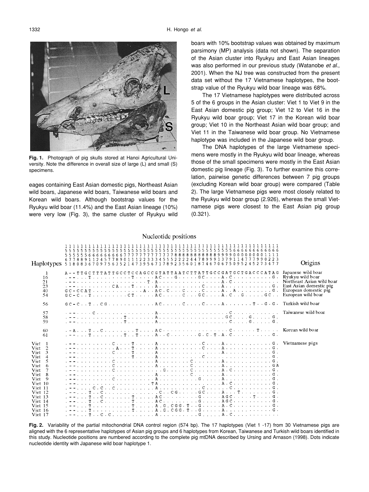

**Fig. 1.** Photograph of pig skulls stored at Hanoi Agricultural University. Note the difference in overall size of large (L) and small (S) specimens.

eages containing East Asian domestic pigs, Northeast Asian wild boars, Japanese wild boars, Taiwanese wild boars and Korean wild boars. Although bootstrap values for the Ryukyu wild boar (11.4%) and the East Asian lineage (10%) were very low (Fig. 3), the same cluster of Ryukyu wild boars with 10% bootstrap values was obtained by maximum parsimony (MP) analysis (data not shown). The separation of the Asian cluster into Ryukyu and East Asian lineages was also performed in our previous study (Watanobe *et al*., 2001). When the NJ tree was constructed from the present data set without the 17 Vietnamese haplotypes, the bootstrap value of the Ryukyu wild boar lineage was 68%.

The 17 Vietnamese haplotypes were distributed across 5 of the 6 groups in the Asian cluster: Viet 1 to Viet 9 in the East Asian domestic pig group; Viet 12 to Viet 16 in the Ryukyu wild boar group; Viet 17 in the Korean wild boar group; Viet 10 in the Northeast Asian wild boar group; and Viet 11 in the Taiwanese wild boar group. No Vietnamese haplotype was included in the Japanese wild boar group.

The DNA haplotypes of the large Vietnamese specimens were mostly in the Ryukyu wild boar lineage, whereas those of the small specimens were mostly in the East Asian domestic pig lineage (Fig. 3). To further examine this correlation, pairwise genetic differences between 7 pig groups (excluding Korean wild boar group) were compared (Table 2). The large Vietnamese pigs were most closely related to the Ryukyu wild boar group (2.926), whereas the small Vietnamese pigs were closest to the East Asian pig group (0.321).

|                                                                                                                                                                                                     | 555666666666777777777777888888888888<br>677889112457789011122333455522224478<br>Haplotypes 51808367097563521473956717892356018746<br>067509                                                                                                                                                                                                                                                             | Origins                                                               |
|-----------------------------------------------------------------------------------------------------------------------------------------------------------------------------------------------------|---------------------------------------------------------------------------------------------------------------------------------------------------------------------------------------------------------------------------------------------------------------------------------------------------------------------------------------------------------------------------------------------------------|-----------------------------------------------------------------------|
| -1<br>16<br>21<br>23<br>40<br>54                                                                                                                                                                    | A - - TTGCTTTATTGCCTCCAGCCGTATTAATCTTATTGCCGATGCTGACCCATAG<br>$-$ - $\ldots$ $\ldots$ $\ldots$ $\ldots$ $\ldots$ $\ldots$ $\ldots$ $\ldots$ $\ldots$ $\ldots$ $\ldots$ $\ldots$ $\ldots$ $\ldots$ $\ldots$ $\ldots$ $\ldots$ $\ldots$ $\ldots$ $\ldots$ $\ldots$ $\ldots$ $\ldots$ $\ldots$ $\ldots$ $\ldots$ $\ldots$ $\ldots$ $\ldots$ $\ldots$ $\ldots$ $\ldots$ $\ldots$ $\ldots$ $\ldots$ $\ldots$ | Japanese wild boar<br>Northeast Asian wild boar<br>European wild boar |
| 56                                                                                                                                                                                                  |                                                                                                                                                                                                                                                                                                                                                                                                         |                                                                       |
| 57<br>58<br>59                                                                                                                                                                                      | $-$ - - $\cdots$ C $\cdots$ A $\cdots$ C $\cdots$ Taiwanese wild boar                                                                                                                                                                                                                                                                                                                                   |                                                                       |
| 60<br>61                                                                                                                                                                                            | $A \cup B$ , $B \cup C$ , $C \cup C$ , $C \cup C$ , $C \cup C$ , $T \cup C$ , $A \cup C$ , $C \cup C$ , $C \cup C$ , $C \cup C$ , $C \cup C$ , $C \cup C$ , $C \cup C$ , $C \cup C$ , $C \cup C$ , $C \cup C$<br>. - - T T T A C G . C . T . A . C G .                                                                                                                                                  |                                                                       |
| Viet 1<br>Viet <sub>2</sub><br>3<br>Viet<br>Viet 4<br>5<br>Viet<br>6<br>Viet<br>Viet<br>Viet 8<br>9<br>Viet<br>Viet 10<br>Viet 11<br>Viet 12<br>Viet 13<br>Viet 14<br>Viet 15<br>Viet 16<br>Viet 17 |                                                                                                                                                                                                                                                                                                                                                                                                         |                                                                       |

## **Fig. 2.** Variability of the partial mitochondrial DNA control region (574 bp). The 17 haplotypes (Viet 1 -17) from 30 Vietnamese pigs are aligned with the 6 representative haplotypes of Asian pig groups and 6 haplotypes from Korean, Taiwanese and Turkish wild boars identified in this study. Nucleotide positions are numbered according to the complete pig mtDNA described by Ursing and Arnason (1998). Dots indicate nucleotide identity with Japanese wild boar haplotype 1.

Nucleotide positions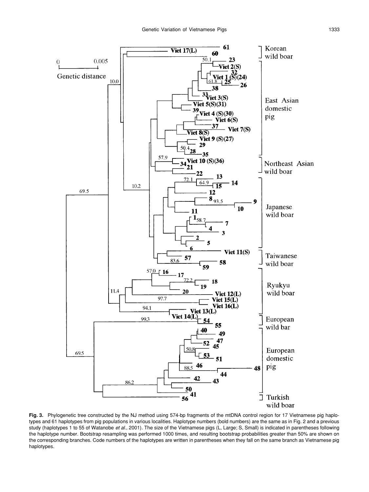

Fig. 3. Phylogenetic tree constructed by the NJ method using 574-bp fragments of the mtDNA control region for 17 Vietnamese pig haplotypes and 61 haplotypes from pig populations in various localities. Haplotype numbers (bold numbers) are the same as in Fig. 2 and a previous study (haplotypes 1 to 55 of Watanobe *et al.*, 2001). The size of the Vietnamese pigs (L, Large; S, Small) is indicated in parentheses following the haplotype number. Bootstrap resampling was performed 1000 times, and resulting bootstrap probabilities greater than 50% are shown on the corresponding branches. Code numbers of the haplotypes are written in parentheses when they fall on the same branch as Vietnamese pig haplotypes.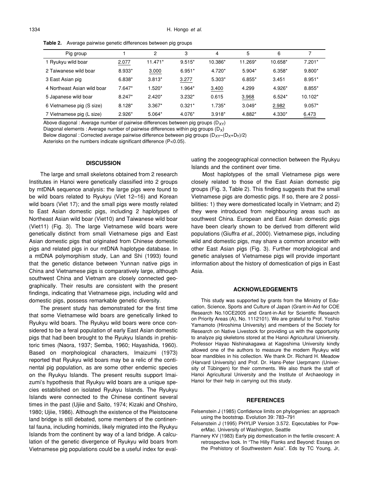**Table 2.** Average pairwise genetic differences between pig groups

| Pig group                   |          | 2         | 3        | $\overline{4}$ | 5        | 6        |           |
|-----------------------------|----------|-----------|----------|----------------|----------|----------|-----------|
| 1 Ryukyu wild boar          | 2.077    | $11.471*$ | $9.515*$ | 10.386*        | 11.269*  | 10.658*  | $7.201*$  |
| 2 Taiwanese wild boar       | 8.933*   | 3.000     | $6.951*$ | 4.720*         | 5.904*   | $6.358*$ | $9.800*$  |
| 3 East Asian pig            | 6.838*   | $3.813*$  | 3.277    | $5.303*$       | $6.855*$ | 3.451    | 8.951*    |
| 4 Northeast Asian wild boar | $7.647*$ | $1.520*$  | 1.964*   | 3.400          | 4.299    | 4.926*   | 8.855*    |
| 5 Japanese wild boar        | $8.247*$ | $2.420*$  | $3.232*$ | 0.615          | 3.968    | $6.524*$ | $10.102*$ |
| 6 Vietnamese pig (S size)   | $8.128*$ | $3.367*$  | $0.321*$ | 1.735*         | $3.049*$ | 2.982    | $9.057*$  |
| 7 Vietnamese pig (L size)   | $2.926*$ | 5.064*    | 4.076*   | $3.918*$       | 4.882*   | 4.330*   | 6.473     |

Above diagonal : Average number of pairwise differences between pig groups  $(D_{XY})$ 

Diagonal elements : Average number of pairwise differences within pig groups  $(D_X)$ 

Below diagonal : Corrected average pairwise difference between pig groups  $(D_{XY}-(D_{X}+D_{Y})/2)$ 

Asterisks on the numbers indicate significant difference (P<0.05).

### **DISCUSSION**

The large and small skeletons obtained from 2 research Institutes in Hanoi were genetically classified into 2 groups by mtDNA sequence analysis: the large pigs were found to be wild boars related to Ryukyu (Viet 12–16) and Korean wild boars (Viet 17); and the small pigs were mostly related to East Asian domestic pigs, including 2 haplotypes of Northeast Asian wild boar (Viet10) and Taiwanese wild boar (Viet11) (Fig. 3). The large Vietnamese wild boars were genetically distinct from small Vietnamese pigs and East Asian domestic pigs that originated from Chinese domestic pigs and related pigs in our mtDNA haplotype database. In a mtDNA polymorphism study, Lan and Shi (1993) found that the genetic distance between Yunnan native pigs in China and Vietnamese pigs is comparatively large, although southwest China and Vietnam are closely connected geographically. Their results are consistent with the present findings, indicating that Vietnamese pigs, including wild and domestic pigs, possess remarkable genetic diversity.

The present study has demonstrated for the first time that some Vietnamese wild boars are genetically linked to Ryukyu wild boars. The Ryukyu wild boars were once considered to be a feral population of early East Asian domestic pigs that had been brought to the Ryukyu Islands in prehistoric times (Naora, 1937; Semba, 1960; Hayashida, 1960). Based on morphological characters, Imaizumi (1973) reported that Ryukyu wild boars may be a relic of the continental pig population, as are some other endemic species on the Ryukyu Islands. The present results support Imaizumi's hypothesis that Ryukyu wild boars are a unique species established on isolated Ryukyu Islands. The Ryukyu Islands were connected to the Chinese continent several times in the past (Ujiie and Saito, 1974; Kizaki and Ohshiro, 1980; Ujiie, 1986). Although the existence of the Pleistocene land bridge is still debated, some members of the continental fauna, including hominids, likely migrated into the Ryukyu Islands from the continent by way of a land bridge. A calculation of the genetic divergence of Ryukyu wild boars from Vietnamese pig populations could be a useful index for evaluating the zoogeographical connection between the Ryukyu Islands and the continent over time.

Most haplotypes of the small Vietnamese pigs were closely related to those of the East Asian domestic pig groups (Fig. 3, Table 2). This finding suggests that the small Vietnamese pigs are domestic pigs. If so, there are 2 possibilities: 1) they were domesticated locally in Vietnam; and 2) they were introduced from neighbouring areas such as southwest China. European and East Asian domestic pigs have been clearly shown to be derived from different wild populations (Giuffra *et al.*, 2000). Vietnamese pigs, including wild and domestic pigs, may share a common ancestor with other East Asian pigs (Fig. 3). Further morphological and genetic analyses of Vietnamese pigs will provide important information about the history of domestication of pigs in East Asia.

## **ACKNOWLEDGEMENTS**

This study was supported by grants from the Ministry of Education, Science, Sports and Culture of Japan (Grant-in-Aid for COE Research No.10CE2005 and Grant-in-Aid for Scientific Research on Priority Areas (A), No. 1112101). We are grateful to Prof. Yoshio Yamamoto (Hiroshima University) and members of the Society for Research on Native Livestock for providing us with the opportunity to analyze pig skeletons stored at the Hanoi Agricultural University. Professor Hayao Nishinakagawa at Kagoshima University kindly allowed one of the authors to measure the modern Ryukyu wild boar mandibles in his collection. We thank Dr. Richard H. Meadow (Harvard University) and Prof. Dr. Hans-Peter Uerpmann (University of Tübingen) for their comments. We also thank the staff of Hanoi Agricultural University and the Institute of Archaeology in Hanoi for their help in carrying out this study.

#### **REFERENCES**

- Felsenstein J (1985) Confidence limits on phylogenies: an approach using the bootstrap. Evolution 39: 783–791
- Felsenstein J (1995) PHYLIP Version 3.572. Eqecutables for PowerMac. University of Washington, Seattle
- Flannery KV (1983) Early pig domestication in the fertile crescent: A retrospective look. In "The Hilly Flanks and Beyond: Essays on the Prehistory of Southwestern Asia". Eds by TC Young, Jr,